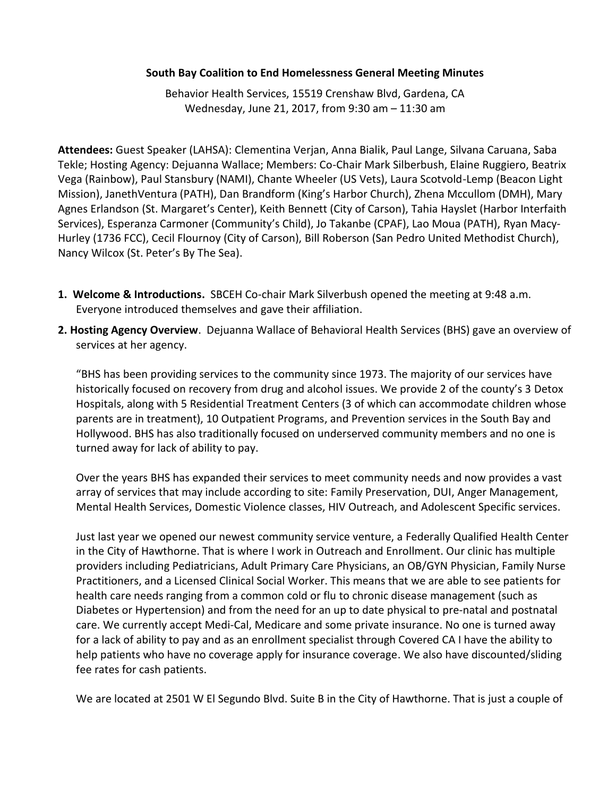## **South Bay Coalition to End Homelessness General Meeting Minutes**

Behavior Health Services, 15519 Crenshaw Blvd, Gardena, CA Wednesday, June 21, 2017, from 9:30 am – 11:30 am

**Attendees:** Guest Speaker (LAHSA): Clementina Verjan, Anna Bialik, Paul Lange, Silvana Caruana, Saba Tekle; Hosting Agency: Dejuanna Wallace; Members: Co-Chair Mark Silberbush, Elaine Ruggiero, Beatrix Vega (Rainbow), Paul Stansbury (NAMI), Chante Wheeler (US Vets), Laura Scotvold-Lemp (Beacon Light Mission), JanethVentura (PATH), Dan Brandform (King's Harbor Church), Zhena Mccullom (DMH), Mary Agnes Erlandson (St. Margaret's Center), Keith Bennett (City of Carson), Tahia Hayslet (Harbor Interfaith Services), Esperanza Carmoner (Community's Child), Jo Takanbe (CPAF), Lao Moua (PATH), Ryan Macy-Hurley (1736 FCC), Cecil Flournoy (City of Carson), Bill Roberson (San Pedro United Methodist Church), Nancy Wilcox (St. Peter's By The Sea).

- **1. Welcome & Introductions.** SBCEH Co-chair Mark Silverbush opened the meeting at 9:48 a.m. Everyone introduced themselves and gave their affiliation.
- **2. Hosting Agency Overview**. Dejuanna Wallace of Behavioral Health Services (BHS) gave an overview of services at her agency.

"BHS has been providing services to the community since 1973. The majority of our services have historically focused on recovery from drug and alcohol issues. We provide 2 of the county's 3 Detox Hospitals, along with 5 Residential Treatment Centers (3 of which can accommodate children whose parents are in treatment), 10 Outpatient Programs, and Prevention services in the South Bay and Hollywood. BHS has also traditionally focused on underserved community members and no one is turned away for lack of ability to pay.

Over the years BHS has expanded their services to meet community needs and now provides a vast array of services that may include according to site: Family Preservation, DUI, Anger Management, Mental Health Services, Domestic Violence classes, HIV Outreach, and Adolescent Specific services.

Just last year we opened our newest community service venture, a Federally Qualified Health Center in the City of Hawthorne. That is where I work in Outreach and Enrollment. Our clinic has multiple providers including Pediatricians, Adult Primary Care Physicians, an OB/GYN Physician, Family Nurse Practitioners, and a Licensed Clinical Social Worker. This means that we are able to see patients for health care needs ranging from a common cold or flu to chronic disease management (such as Diabetes or Hypertension) and from the need for an up to date physical to pre-natal and postnatal care. We currently accept Medi-Cal, Medicare and some private insurance. No one is turned away for a lack of ability to pay and as an enrollment specialist through Covered CA I have the ability to help patients who have no coverage apply for insurance coverage. We also have discounted/sliding fee rates for cash patients.

We are located at 2501 W El Segundo Blvd. Suite B in the City of Hawthorne. That is just a couple of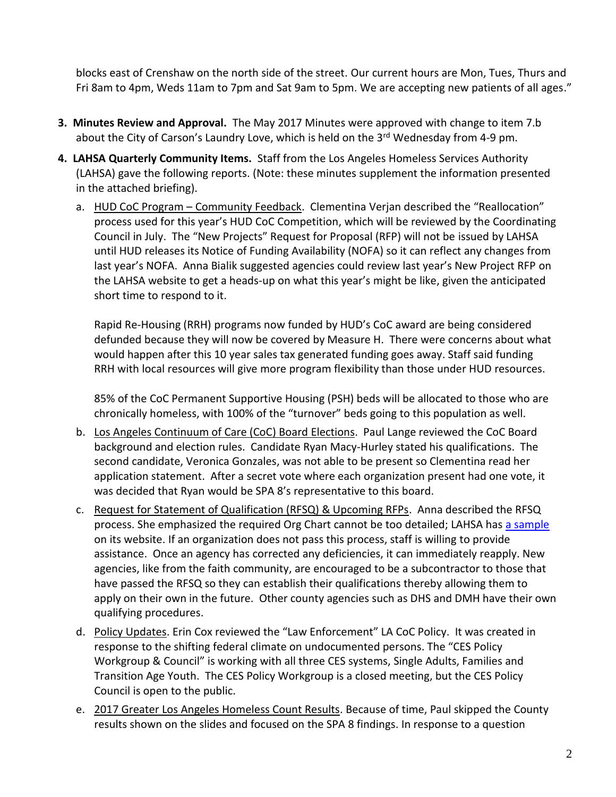blocks east of Crenshaw on the north side of the street. Our current hours are Mon, Tues, Thurs and Fri 8am to 4pm, Weds 11am to 7pm and Sat 9am to 5pm. We are accepting new patients of all ages."

- **3. Minutes Review and Approval.** The May 2017 Minutes were approved with change to item 7.b about the City of Carson's Laundry Love, which is held on the 3rd Wednesday from 4-9 pm.
- **4. LAHSA Quarterly Community Items.** Staff from the Los Angeles Homeless Services Authority (LAHSA) gave the following reports. (Note: these minutes supplement the information presented in the attached briefing).
	- a. HUD CoC Program Community Feedback. Clementina Verjan described the "Reallocation" process used for this year's HUD CoC Competition, which will be reviewed by the Coordinating Council in July. The "New Projects" Request for Proposal (RFP) will not be issued by LAHSA until HUD releases its Notice of Funding Availability (NOFA) so it can reflect any changes from last year's NOFA. Anna Bialik suggested agencies could review last year's New Project RFP on the LAHSA website to get a heads-up on what this year's might be like, given the anticipated short time to respond to it.

Rapid Re-Housing (RRH) programs now funded by HUD's CoC award are being considered defunded because they will now be covered by Measure H. There were concerns about what would happen after this 10 year sales tax generated funding goes away. Staff said funding RRH with local resources will give more program flexibility than those under HUD resources.

85% of the CoC Permanent Supportive Housing (PSH) beds will be allocated to those who are chronically homeless, with 100% of the "turnover" beds going to this population as well.

- b. Los Angeles Continuum of Care (CoC) Board Elections. Paul Lange reviewed the CoC Board background and election rules. Candidate Ryan Macy-Hurley stated his qualifications. The second candidate, Veronica Gonzales, was not able to be present so Clementina read her application statement. After a secret vote where each organization present had one vote, it was decided that Ryan would be SPA 8's representative to this board.
- c. Request for Statement of Qualification (RFSQ) & Upcoming RFPs. Anna described the RFSQ process. She emphasized the required Org Chart cannot be too detailed; LAHSA has [a sample](https://www.lahsa.org/documents?id=1395-rfsq-sample-organization-chart.pdf%27) on its website. If an organization does not pass this process, staff is willing to provide assistance. Once an agency has corrected any deficiencies, it can immediately reapply. New agencies, like from the faith community, are encouraged to be a subcontractor to those that have passed the RFSQ so they can establish their qualifications thereby allowing them to apply on their own in the future. Other county agencies such as DHS and DMH have their own qualifying procedures.
- d. Policy Updates. Erin Cox reviewed the "Law Enforcement" LA CoC Policy. It was created in response to the shifting federal climate on undocumented persons. The "CES Policy Workgroup & Council" is working with all three CES systems, Single Adults, Families and Transition Age Youth. The CES Policy Workgroup is a closed meeting, but the CES Policy Council is open to the public.
- e. 2017 Greater Los Angeles Homeless Count Results. Because of time, Paul skipped the County results shown on the slides and focused on the SPA 8 findings. In response to a question